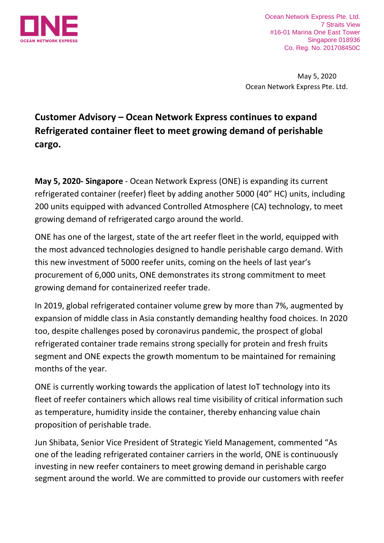

Ocean Network Express Pte. Ltd. 7 Straits View #16-01 Marina One East Tower Singapore 018936 Co. Reg. No. 201708450C

 May 5, 2020 Ocean Network Express Pte. Ltd.

## **Customer Advisory – Ocean Network Express continues to expand Refrigerated container fleet to meet growing demand of perishable cargo.**

**May 5, 2020- Singapore** - Ocean Network Express (ONE) is expanding its current refrigerated container (reefer) fleet by adding another 5000 (40" HC) units, including 200 units equipped with advanced Controlled Atmosphere (CA) technology, to meet growing demand of refrigerated cargo around the world.

ONE has one of the largest, state of the art reefer fleet in the world, equipped with the most advanced technologies designed to handle perishable cargo demand. With this new investment of 5000 reefer units, coming on the heels of last year's procurement of 6,000 units, ONE demonstrates its strong commitment to meet growing demand for containerized reefer trade.

In 2019, global refrigerated container volume grew by more than 7%, augmented by expansion of middle class in Asia constantly demanding healthy food choices. In 2020 too, despite challenges posed by coronavirus pandemic, the prospect of global refrigerated container trade remains strong specially for protein and fresh fruits segment and ONE expects the growth momentum to be maintained for remaining months of the year.

ONE is currently working towards the application of latest IoT technology into its fleet of reefer containers which allows real time visibility of critical information such as temperature, humidity inside the container, thereby enhancing value chain proposition of perishable trade.

Jun Shibata, Senior Vice President of Strategic Yield Management, commented "As one of the leading refrigerated container carriers in the world, ONE is continuously investing in new reefer containers to meet growing demand in perishable cargo segment around the world. We are committed to provide our customers with reefer